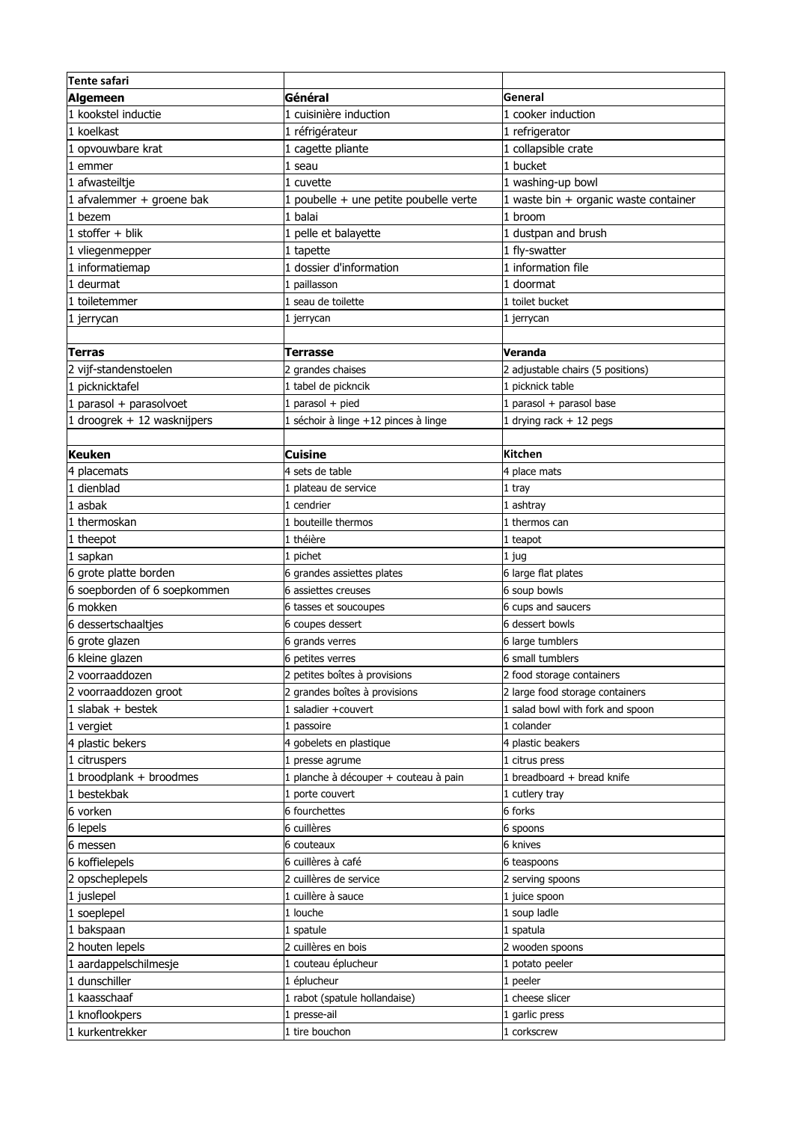| <b>Tente safari</b>          |                                        |                                       |
|------------------------------|----------------------------------------|---------------------------------------|
| Algemeen                     | <b>Général</b>                         | General                               |
| 1 kookstel inductie          | 1 cuisinière induction                 | 1 cooker induction                    |
| 1 koelkast                   | 1 réfrigérateur                        | 1 refrigerator                        |
| 1 opvouwbare krat            | 1 cagette pliante                      | 1 collapsible crate                   |
| 1 emmer                      | 1 seau                                 | 1 bucket                              |
| 1 afwasteiltje               | 1 cuvette                              | 1 washing-up bowl                     |
| 1 afvalemmer + groene bak    | 1 poubelle + une petite poubelle verte | 1 waste bin + organic waste container |
| 1 bezem                      | 1 halai                                | 1 broom                               |
| $1$ stoffer + blik           | 1 pelle et balayette                   | 1 dustpan and brush                   |
| 1 vliegenmepper              | 1 tapette                              | 1 fly-swatter                         |
| 1 informatiemap              | 1 dossier d'information                | 1 information file                    |
| 1 deurmat                    | 1 paillasson                           | 1 doormat                             |
| 1 toiletemmer                | 1 seau de toilette                     | 1 toilet bucket                       |
| 1 jerrycan                   | 1 jerrycan                             | 1 jerrycan                            |
|                              |                                        |                                       |
| Terras                       | Terrasse                               | Veranda                               |
| 2 vijf-standenstoelen        | 2 grandes chaises                      | 2 adjustable chairs (5 positions)     |
| 1 picknicktafel              | 1 tabel de pickncik                    | 1 picknick table                      |
| 1 parasol + parasolvoet      | 1 parasol + pied                       | 1 parasol + parasol base              |
| 1 droogrek + 12 wasknijpers  | 1 séchoir à linge +12 pinces à linge   | 1 drying rack $+$ 12 pegs             |
|                              |                                        |                                       |
| Keuken                       | <b>Cuisine</b>                         | Kitchen                               |
| placemats                    | 4 sets de table                        | 4 place mats                          |
| 1 dienblad                   | 1 plateau de service                   | 1 tray                                |
| 1 asbak                      | 1 cendrier                             | 1 ashtray                             |
| 1 thermoskan                 | 1 bouteille thermos                    | 1 thermos can                         |
| 1 theepot                    | 1 théière                              | 1 teapot                              |
| 1 sapkan                     | 1 pichet                               | 1 jug                                 |
| 6 grote platte borden        | 6 grandes assiettes plates             | 6 large flat plates                   |
| 6 soepborden of 6 soepkommen | 6 assiettes creuses                    | 6 soup bowls                          |
| 6 mokken                     | 6 tasses et soucoupes                  | 6 cups and saucers                    |
| 6 dessertschaaltjes          | 6 coupes dessert                       | 6 dessert bowls                       |
| 6 grote glazen               | 6 grands verres                        | 6 large tumblers                      |
| 6 kleine glazen              | 6 petites verres                       | 6 small tumblers                      |
| 2 voorraaddozen              | 2 petites boîtes à provisions          | 2 food storage containers             |
| 2 voorraaddozen groot        | 2 grandes boîtes à provisions          | 2 large food storage containers       |
| $1$ slabak + bestek          | 1 saladier +couvert                    | 1 salad bowl with fork and spoon      |
| 1 vergiet                    | 1 passoire                             | 1 colander                            |
| 4 plastic bekers             | 4 gobelets en plastique                | 4 plastic beakers                     |
| 1 citruspers                 | 1 presse agrume                        | 1 citrus press                        |
| 1 broodplank + broodmes      | 1 planche à découper + couteau à pain  | 1 breadboard + bread knife            |
| 1 bestekbak                  | 1 porte couvert                        | 1 cutlery tray                        |
| 6 vorken                     | 6 fourchettes                          | 6 forks                               |
| 6 lepels                     | 6 cuillères                            | 6 spoons                              |
| 6 messen                     | 6 couteaux                             | 6 knives                              |
| 6 koffielepels               | 6 cuillères à café                     | 6 teaspoons                           |
| 2 opscheplepels              | 2 cuillères de service                 | 2 serving spoons                      |
| 1 juslepel                   | 1 cuillère à sauce                     | 1 juice spoon                         |
| 1 soeplepel                  | 1 louche                               | 1 soup ladle                          |
| 1 bakspaan                   | 1 spatule                              | 1 spatula                             |
| 2 houten lepels              | 2 cuillères en bois                    | 2 wooden spoons                       |
| 1 aardappelschilmesje        | 1 couteau éplucheur                    | 1 potato peeler                       |
| 1 dunschiller                | 1 éplucheur                            | 1 peeler                              |
| 1 kaasschaaf                 | 1 rabot (spatule hollandaise)          | 1 cheese slicer                       |
| 1 knoflookpers               | 1 presse-ail                           | 1 garlic press                        |
| 1 kurkentrekker              | 1 tire bouchon                         | 1 corkscrew                           |